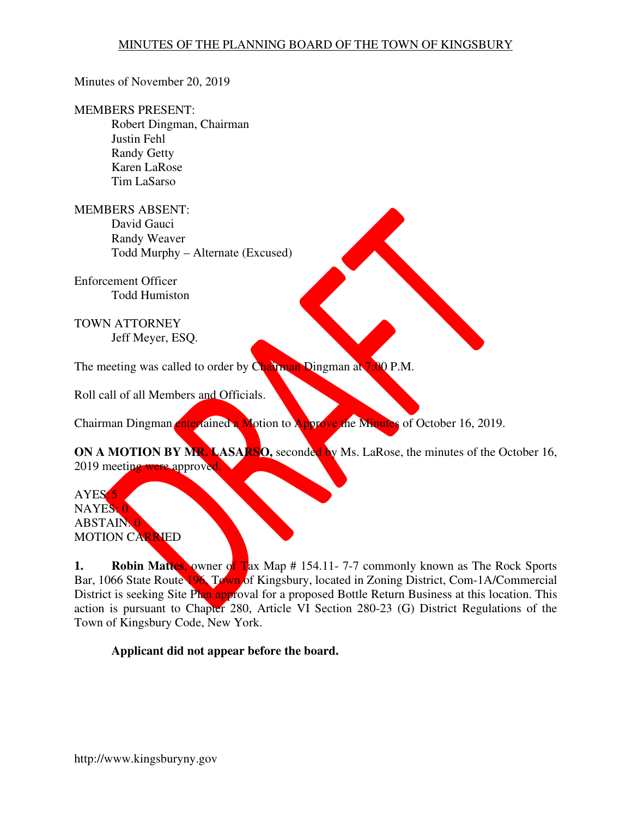#### Minutes of November 20, 2019

#### MEMBERS PRESENT:

Robert Dingman, Chairman Justin Fehl Randy Getty Karen LaRose Tim LaSarso

MEMBERS ABSENT: David Gauci Randy Weaver Todd Murphy – Alternate (Excused)

Enforcement Officer Todd Humiston

TOWN ATTORNEY Jeff Meyer, ESQ.

The meeting was called to order by Chairman Dingman at 7:00 P.M.

Roll call of all Members and Officials.

Chairman Dingman entertained a Motion to Approve the Minutes of October 16, 2019.

**ON A MOTION BY MR. LASARSO,** seconded by Ms. LaRose, the minutes of the October 16, 2019 meeting were approved.

AYES: 5 NAYES: 0 ABSTAIN: 0 MOTION CARRIED

**1. Robin Mattes, owner of Tax Map # 154.11-7-7 commonly known as The Rock Sports** Bar, 1066 State Route 196, Town of Kingsbury, located in Zoning District, Com-1A/Commercial District is seeking Site Plan approval for a proposed Bottle Return Business at this location. This action is pursuant to Chapter 280, Article VI Section 280-23 (G) District Regulations of the Town of Kingsbury Code, New York.

**Applicant did not appear before the board.**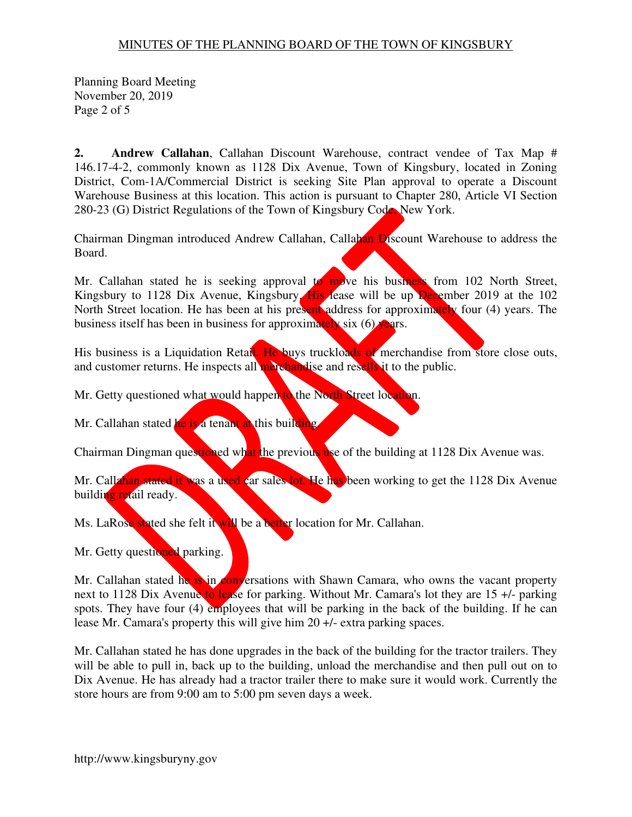Planning Board Meeting November 20, 2019 Page 2 of 5

**2. Andrew Callahan**, Callahan Discount Warehouse, contract vendee of Tax Map # 146.17-4-2, commonly known as 1128 Dix Avenue, Town of Kingsbury, located in Zoning District, Com-1A/Commercial District is seeking Site Plan approval to operate a Discount Warehouse Business at this location. This action is pursuant to Chapter 280, Article VI Section 280-23 (G) District Regulations of the Town of Kingsbury Code, New York.

Chairman Dingman introduced Andrew Callahan, Callahan Discount Warehouse to address the Board.

Mr. Callahan stated he is seeking approval to move his business from  $102$  North Street, Kingsbury to 1128 Dix Avenue, Kingsbury. His lease will be up December 2019 at the 102 North Street location. He has been at his present address for approximately four (4) years. The business itself has been in business for approximately six  $(6)$  years.

His business is a Liquidation Retail. He buys truckloads of merchandise from store close outs, and customer returns. He inspects all merchandise and resells it to the public.

Mr. Getty questioned what would happen to the North Street location.

Mr. Callahan stated he is a tenant at this building.

Chairman Dingman questioned what the previous use of the building at 1128 Dix Avenue was.

Mr. Callahan stated it was a used car sales lot. He has been working to get the 1128 Dix Avenue building retail ready.

Ms. LaRose stated she felt it will be a better location for Mr. Callahan.

Mr. Getty questioned parking.

Mr. Callahan stated he is in conversations with Shawn Camara, who owns the vacant property next to 1128 Dix Avenue to lease for parking. Without Mr. Camara's lot they are  $15 +$ - parking spots. They have four (4) employees that will be parking in the back of the building. If he can lease Mr. Camara's property this will give him 20 +/- extra parking spaces.

Mr. Callahan stated he has done upgrades in the back of the building for the tractor trailers. They will be able to pull in, back up to the building, unload the merchandise and then pull out on to Dix Avenue. He has already had a tractor trailer there to make sure it would work. Currently the store hours are from 9:00 am to 5:00 pm seven days a week.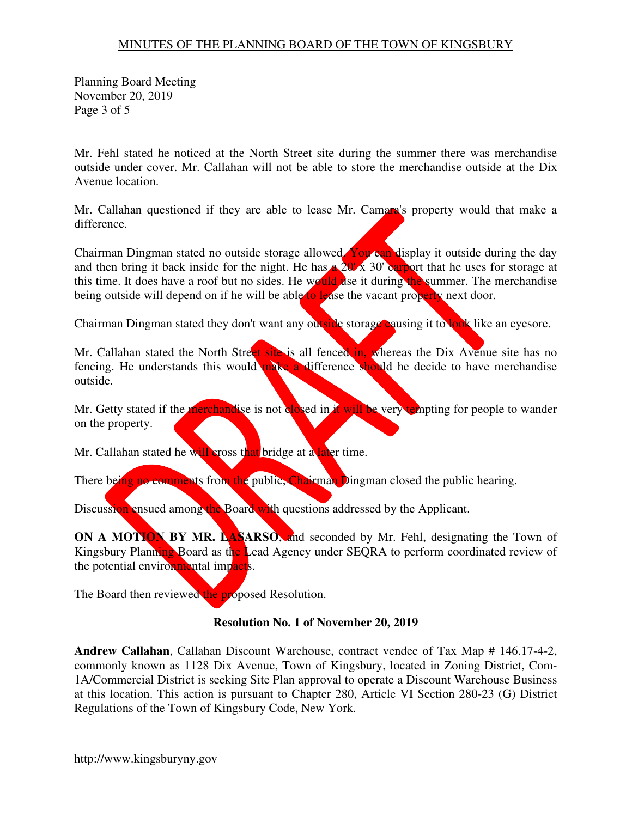Planning Board Meeting November 20, 2019 Page 3 of 5

Mr. Fehl stated he noticed at the North Street site during the summer there was merchandise outside under cover. Mr. Callahan will not be able to store the merchandise outside at the Dix Avenue location.

Mr. Callahan questioned if they are able to lease Mr. Camara's property would that make a difference.

Chairman Dingman stated no outside storage allowed. You can display it outside during the day and then bring it back inside for the night. He has a  $20' \times 30'$  carport that he uses for storage at this time. It does have a roof but no sides. He would use it during the summer. The merchandise being outside will depend on if he will be able to lease the vacant property next door.

Chairman Dingman stated they don't want any outside storage causing it to look like an eyesore.

Mr. Callahan stated the North Street site is all fenced in, whereas the Dix Avenue site has no fencing. He understands this would make a difference should he decide to have merchandise outside.

Mr. Getty stated if the merchandise is not closed in it will be very tempting for people to wander on the property.

Mr. Callahan stated he will cross that bridge at a later time.

There being no comments from the public, Chairman Dingman closed the public hearing.

Discussion ensued among the Board with questions addressed by the Applicant.

**ON A MOTION BY MR. LASARSO**, and seconded by Mr. Fehl, designating the Town of Kingsbury Planning Board as the Lead Agency under SEQRA to perform coordinated review of the potential environmental impacts.

The Board then reviewed the proposed Resolution.

#### **Resolution No. 1 of November 20, 2019**

**Andrew Callahan**, Callahan Discount Warehouse, contract vendee of Tax Map # 146.17-4-2, commonly known as 1128 Dix Avenue, Town of Kingsbury, located in Zoning District, Com-1A/Commercial District is seeking Site Plan approval to operate a Discount Warehouse Business at this location. This action is pursuant to Chapter 280, Article VI Section 280-23 (G) District Regulations of the Town of Kingsbury Code, New York.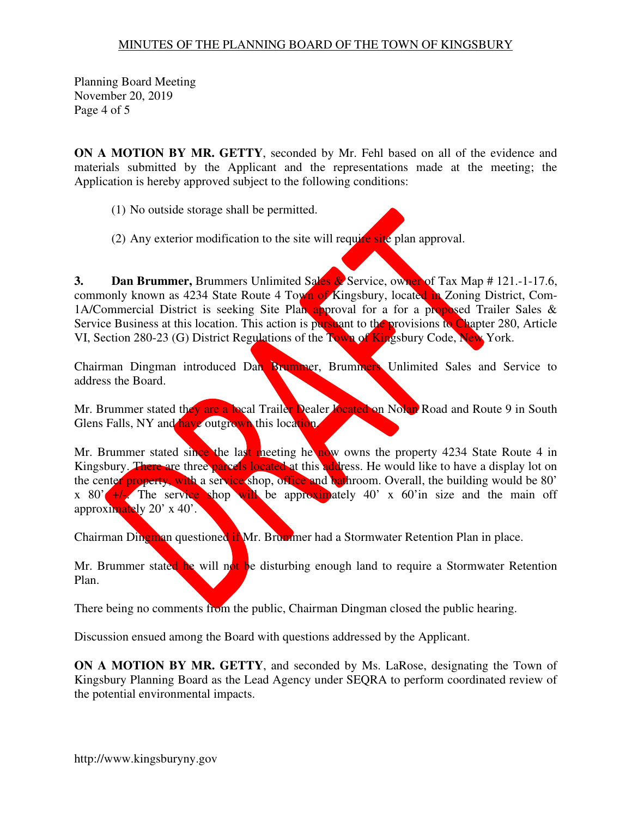Planning Board Meeting November 20, 2019 Page 4 of 5

**ON A MOTION BY MR. GETTY**, seconded by Mr. Fehl based on all of the evidence and materials submitted by the Applicant and the representations made at the meeting; the Application is hereby approved subject to the following conditions:

- (1) No outside storage shall be permitted.
- (2) Any exterior modification to the site will require site plan approval.

**3. Dan Brummer,** Brummers Unlimited Sales & Service, owner of Tax Map # 121.-1-17.6, commonly known as 4234 State Route 4 Town of Kingsbury, located in Zoning District, Com-1A/Commercial District is seeking Site Plan approval for a for a proposed Trailer Sales & Service Business at this location. This action is pursuant to the provisions to Chapter 280, Article VI, Section 280-23 (G) District Regulations of the Town of Kingsbury Code, New York.

Chairman Dingman introduced Dan Brummer, Brummers Unlimited Sales and Service to address the Board.

Mr. Brummer stated they are a local Trailer Dealer located on Nolan Road and Route 9 in South Glens Falls, NY and have outgrown this location.

Mr. Brummer stated since the last meeting he now owns the property 4234 State Route 4 in Kingsbury. There are three parcels located at this address. He would like to have a display lot on the center property, with a service shop, office and bathroom. Overall, the building would be 80' x 80'  $+/-$ . The service shop will be approximately 40' x 60' in size and the main off approximately 20' x 40'.

Chairman Dingman questioned if Mr. Brummer had a Stormwater Retention Plan in place.

Mr. Brummer stated he will not be disturbing enough land to require a Stormwater Retention Plan.

There being no comments from the public, Chairman Dingman closed the public hearing.

Discussion ensued among the Board with questions addressed by the Applicant.

**ON A MOTION BY MR. GETTY**, and seconded by Ms. LaRose, designating the Town of Kingsbury Planning Board as the Lead Agency under SEQRA to perform coordinated review of the potential environmental impacts.